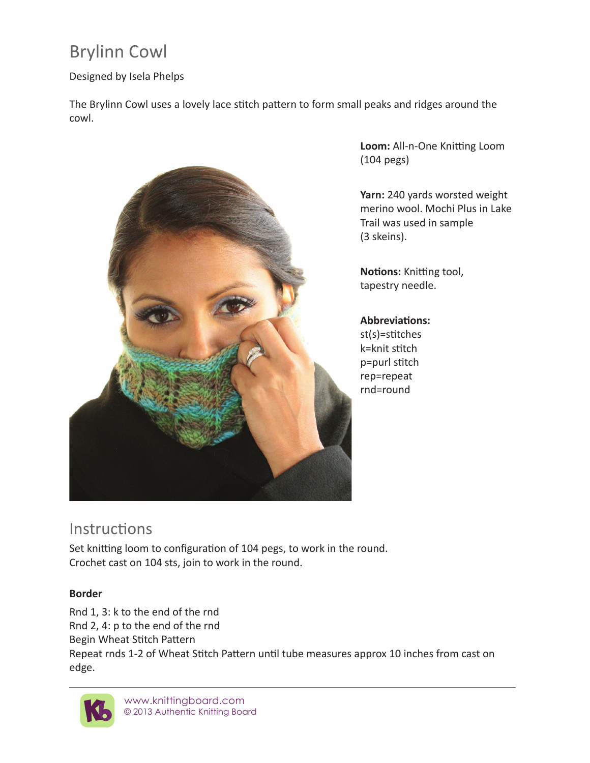# Brylinn Cowl

### Designed by Isela Phelps

The Brylinn Cowl uses a lovely lace stitch pattern to form small peaks and ridges around the cowl.



**Loom:** All-n-One Knitting Loom (104 pegs)

**Yarn:** 240 yards worsted weight merino wool. Mochi Plus in Lake Trail was used in sample (3 skeins).

**Notions:** Knitting tool, tapestry needle.

#### **Abbreviations:**

st(s)=stitches k=knit stitch p=purl stitch rep=repeat rnd=round

## **Instructions**

Set knitting loom to configuration of 104 pegs, to work in the round. Crochet cast on 104 sts, join to work in the round.

### **Border**

Rnd 1, 3: k to the end of the rnd Rnd 2, 4: p to the end of the rnd Begin Wheat Stitch Pattern Repeat rnds 1-2 of Wheat Stitch Pattern until tube measures approx 10 inches from cast on edge.



www.knittingboard.com © 2013 Authentic Knitting Board